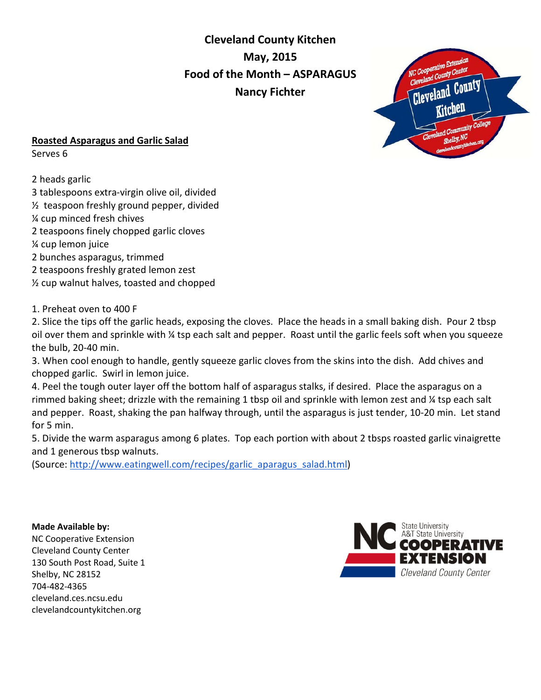**Cleveland County Kitchen May, 2015 Food of the Month – ASPARAGUS Nancy Fichter** 



## **Roasted Asparagus and Garlic Salad**

Serves 6

2 heads garlic

- 3 tablespoons extra-virgin olive oil, divided
- ½ teaspoon freshly ground pepper, divided
- ¼ cup minced fresh chives
- 2 teaspoons finely chopped garlic cloves
- ¼ cup lemon juice
- 2 bunches asparagus, trimmed
- 2 teaspoons freshly grated lemon zest
- ½ cup walnut halves, toasted and chopped

1. Preheat oven to 400 F

2. Slice the tips off the garlic heads, exposing the cloves. Place the heads in a small baking dish. Pour 2 tbsp oil over them and sprinkle with ¼ tsp each salt and pepper. Roast until the garlic feels soft when you squeeze the bulb, 20-40 min.

3. When cool enough to handle, gently squeeze garlic cloves from the skins into the dish. Add chives and chopped garlic. Swirl in lemon juice.

4. Peel the tough outer layer off the bottom half of asparagus stalks, if desired. Place the asparagus on a rimmed baking sheet; drizzle with the remaining 1 tbsp oil and sprinkle with lemon zest and ¼ tsp each salt and pepper. Roast, shaking the pan halfway through, until the asparagus is just tender, 10-20 min. Let stand for 5 min.

5. Divide the warm asparagus among 6 plates. Top each portion with about 2 tbsps roasted garlic vinaigrette and 1 generous tbsp walnuts.

(Source: [http://www.eatingwell.com/recipes/garlic\\_aparagus\\_salad.html\)](http://www.eatingwell.com/recipes/garlic_aparagus_salad.html)

**Made Available by:**  NC Cooperative Extension Cleveland County Center 130 South Post Road, Suite 1 Shelby, NC 28152 704-482-4365 cleveland.ces.ncsu.edu clevelandcountykitchen.org